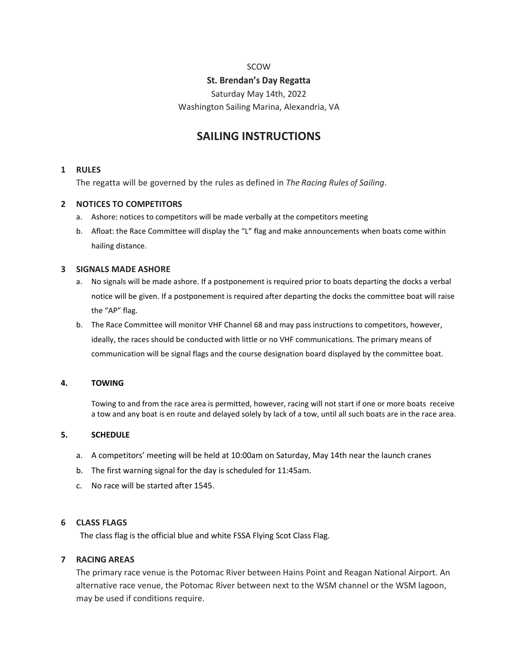### SCOW

## **St. Brendan's Day Regatta**

Saturday May 14th, 2022

Washington Sailing Marina, Alexandria, VA

# **SAILING INSTRUCTIONS**

## **1 RULES**

The regatta will be governed by the rules as defined in *The Racing Rules of Sailing*.

## **2 NOTICES TO COMPETITORS**

- a. Ashore: notices to competitors will be made verbally at the competitors meeting
- b. Afloat: the Race Committee will display the "L" flag and make announcements when boats come within hailing distance.

## **3 SIGNALS MADE ASHORE**

- a. No signals will be made ashore. If a postponement is required prior to boats departing the docks a verbal notice will be given. If a postponement is required after departing the docks the committee boat will raise the "AP" flag.
- b. The Race Committee will monitor VHF Channel 68 and may pass instructions to competitors, however, ideally, the races should be conducted with little or no VHF communications. The primary means of communication will be signal flags and the course designation board displayed by the committee boat.

## **4. TOWING**

Towing to and from the race area is permitted, however, racing will not start if one or more boats receive a tow and any boat is en route and delayed solely by lack of a tow, until all such boats are in the race area.

## **5. SCHEDULE**

- a. A competitors' meeting will be held at 10:00am on Saturday, May 14th near the launch cranes
- b. The first warning signal for the day is scheduled for 11:45am.
- c. No race will be started after 1545.

## **6 CLASS FLAGS**

The class flag is the official blue and white FSSA Flying Scot Class Flag.

## **7 RACING AREAS**

The primary race venue is the Potomac River between Hains Point and Reagan National Airport. An alternative race venue, the Potomac River between next to the WSM channel or the WSM lagoon, may be used if conditions require.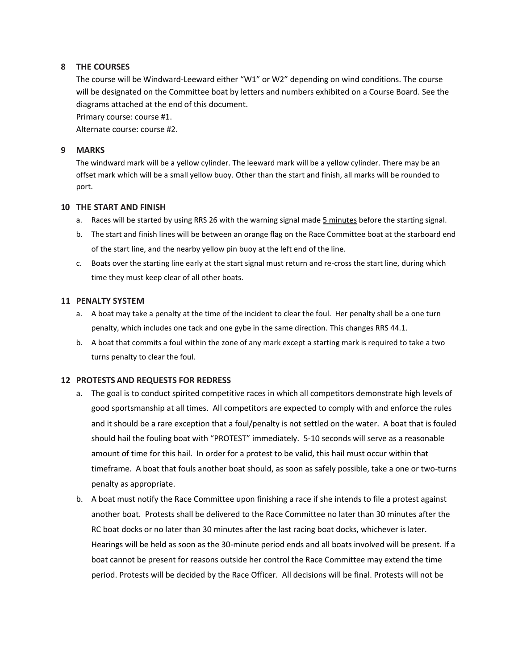## **8 THE COURSES**

The course will be Windward-Leeward either "W1" or W2" depending on wind conditions. The course will be designated on the Committee boat by letters and numbers exhibited on a Course Board. See the diagrams attached at the end of this document.

Primary course: course #1.

Alternate course: course #2.

## **9 MARKS**

The windward mark will be a yellow cylinder. The leeward mark will be a yellow cylinder. There may be an offset mark which will be a small yellow buoy. Other than the start and finish, all marks will be rounded to port.

## **10 THE START AND FINISH**

- a. Races will be started by using RRS 26 with the warning signal made 5 minutes before the starting signal.
- b. The start and finish lines will be between an orange flag on the Race Committee boat at the starboard end of the start line, and the nearby yellow pin buoy at the left end of the line.
- c. Boats over the starting line early at the start signal must return and re-cross the start line, during which time they must keep clear of all other boats.

## **11 PENALTY SYSTEM**

- a. A boat may take a penalty at the time of the incident to clear the foul. Her penalty shall be a one turn penalty, which includes one tack and one gybe in the same direction. This changes RRS 44.1.
- b. A boat that commits a foul within the zone of any mark except a starting mark is required to take a two turns penalty to clear the foul.

# **12 PROTESTS AND REQUESTS FOR REDRESS**

- a. The goal is to conduct spirited competitive races in which all competitors demonstrate high levels of good sportsmanship at all times. All competitors are expected to comply with and enforce the rules and it should be a rare exception that a foul/penalty is not settled on the water. A boat that is fouled should hail the fouling boat with "PROTEST" immediately. 5-10 seconds will serve as a reasonable amount of time for this hail. In order for a protest to be valid, this hail must occur within that timeframe. A boat that fouls another boat should, as soon as safely possible, take a one or two-turns penalty as appropriate.
- b. A boat must notify the Race Committee upon finishing a race if she intends to file a protest against another boat. Protests shall be delivered to the Race Committee no later than 30 minutes after the RC boat docks or no later than 30 minutes after the last racing boat docks, whichever is later. Hearings will be held as soon as the 30-minute period ends and all boats involved will be present. If a boat cannot be present for reasons outside her control the Race Committee may extend the time period. Protests will be decided by the Race Officer. All decisions will be final. Protests will not be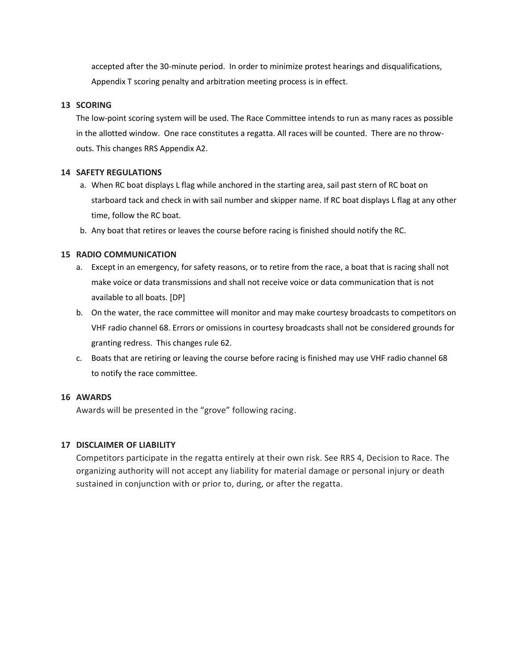accepted after the 30-minute period. In order to minimize protest hearings and disqualifications, Appendix T scoring penalty and arbitration meeting process is in effect.

## **13 SCORING**

The low-point scoring system will be used. The Race Committee intends to run as many races as possible in the allotted window. One race constitutes a regatta. All races will be counted. There are no throwouts. This changes RRS Appendix A2.

## **14 SAFETY REGULATIONS**

- a. When RC boat displays L flag while anchored in the starting area, sail past stern of RC boat on starboard tack and check in with sail number and skipper name. If RC boat displays L flag at any other time, follow the RC boat.
- b. Any boat that retires or leaves the course before racing is finished should notify the RC.

## **15 RADIO COMMUNICATION**

- a. Except in an emergency, for safety reasons, or to retire from the race, a boat that is racing shall not make voice or data transmissions and shall not receive voice or data communication that is not available to all boats. [DP]
- b. On the water, the race committee will monitor and may make courtesy broadcasts to competitors on VHF radio channel 68. Errors or omissions in courtesy broadcasts shall not be considered grounds for granting redress. This changes rule 62.
- c. Boats that are retiring or leaving the course before racing is finished may use VHF radio channel 68 to notify the race committee.

## **16 AWARDS**

Awards will be presented in the "grove" following racing.

# **17 DISCLAIMER OF LIABILITY**

Competitors participate in the regatta entirely at their own risk. See RRS 4, Decision to Race. The organizing authority will not accept any liability for material damage or personal injury or death sustained in conjunction with or prior to, during, or after the regatta.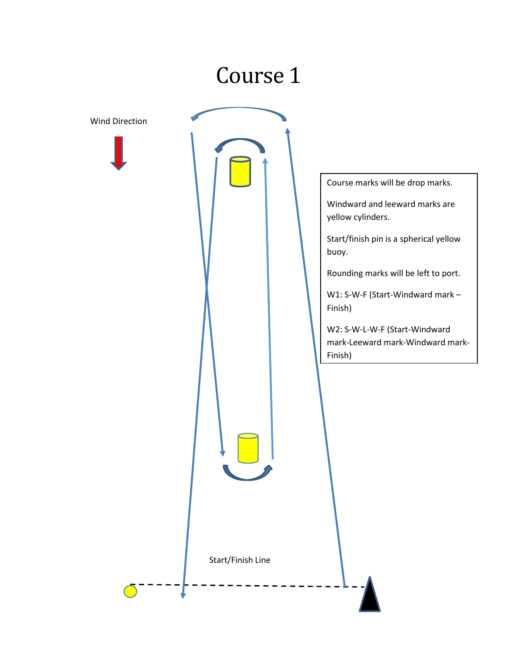